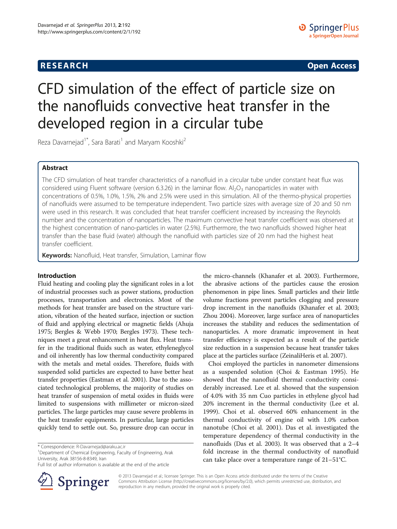## **RESEARCH CHE Open Access**

# CFD simulation of the effect of particle size on the nanofluids convective heat transfer in the developed region in a circular tube

Reza Davarnejad<sup>1\*</sup>, Sara Barati<sup>1</sup> and Maryam Kooshki<sup>2</sup>

## Abstract

The CFD simulation of heat transfer characteristics of a nanofluid in a circular tube under constant heat flux was considered using Fluent software (version 6.3.26) in the laminar flow. Al<sub>2</sub>O<sub>3</sub> nanoparticles in water with concentrations of 0.5%, 1.0%, 1.5%, 2% and 2.5% were used in this simulation. All of the thermo-physical properties of nanofluids were assumed to be temperature independent. Two particle sizes with average size of 20 and 50 nm were used in this research. It was concluded that heat transfer coefficient increased by increasing the Reynolds number and the concentration of nanoparticles. The maximum convective heat transfer coefficient was observed at the highest concentration of nano-particles in water (2.5%). Furthermore, the two nanofluids showed higher heat transfer than the base fluid (water) although the nanofluid with particles size of 20 nm had the highest heat transfer coefficient.

Keywords: Nanofluid, Heat transfer, Simulation, Laminar flow

### Introduction

Fluid heating and cooling play the significant roles in a lot of industrial processes such as power stations, production processes, transportation and electronics. Most of the methods for heat transfer are based on the structure variation, vibration of the heated surface, injection or suction of fluid and applying electrical or magnetic fields (Ahuja [1975;](#page-4-0) Bergles & Webb [1970](#page-4-0); Bergles [1973](#page-4-0)). These techniques meet a great enhancement in heat flux. Heat transfer in the traditional fluids such as water, ethyleneglycol and oil inherently has low thermal conductivity compared with the metals and metal oxides. Therefore, fluids with suspended solid particles are expected to have better heat transfer properties (Eastman et al. [2001\)](#page-4-0). Due to the associated technological problems, the majority of studies on heat transfer of suspension of metal oxides in fluids were limited to suspensions with millimeter or micron-sized particles. The large particles may cause severe problems in the heat transfer equipments. In particular, large particles quickly tend to settle out. So, pressure drop can occur in

<sup>1</sup>Department of Chemical Engineering, Faculty of Engineering, Arak University, Arak 38156-8-8349, Iran

Full list of author information is available at the end of the article



the micro-channels (Khanafer et al. [2003\)](#page-4-0). Furthermore, the abrasive actions of the particles cause the erosion phenomenon in pipe lines. Small particles and their little volume fractions prevent particles clogging and pressure drop increment in the nanofluids (Khanafer et al. [2003](#page-4-0); Zhou [2004\)](#page-5-0). Moreover, large surface area of nanoparticles increases the stability and reduces the sedimentation of nanoparticles. A more dramatic improvement in heat transfer efficiency is expected as a result of the particle size reduction in a suspension because heat transfer takes place at the particles surface (ZeinaliHeris et al. [2007](#page-5-0)).

Choi employed the particles in nanometer dimensions as a suspended solution (Choi & Eastman [1995\)](#page-4-0). He showed that the nanofluid thermal conductivity considerably increased. Lee et al. showed that the suspension of 4.0% with 35 nm Cuo particles in ethylene glycol had 20% increment in the thermal conductivity (Lee et al. [1999](#page-4-0)). Choi et al. observed 60% enhancement in the thermal conductivity of engine oil with 1.0% carbon nanotube (Choi et al. [2001](#page-4-0)). Das et al. investigated the temperature dependency of thermal conductivity in the nanofluids (Das et al. [2003\)](#page-4-0). It was observed that a 2–4 fold increase in the thermal conductivity of nanofluid can take place over a temperature range of 21–51°C.

© 2013 Davarnejad et al.; licensee Springer. This is an Open Access article distributed under the terms of the Creative Commons Attribution License (<http://creativecommons.org/licenses/by/2.0>), which permits unrestricted use, distribution, and reproduction in any medium, provided the original work is properly cited.

<sup>\*</sup> Correspondence: [R-Davarnejad@araku.ac.ir](mailto:R-Davarnejad@araku.ac.ir) <sup>1</sup>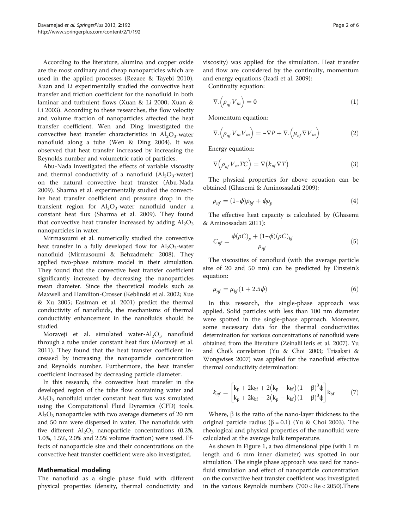According to the literature, alumina and copper oxide are the most ordinary and cheap nanoparticles which are used in the applied processes (Rezaee & Tayebi [2010](#page-4-0)). Xuan and Li experimentally studied the convective heat transfer and friction coefficient for the nanofluid in both laminar and turbulent flows (Xuan & Li [2000](#page-4-0); Xuan & Li [2003](#page-5-0)). According to these researches, the flow velocity and volume fraction of nanoparticles affected the heat transfer coefficient. Wen and Ding investigated the convective heat transfer characteristics in  $Al_2O_3$ -water nanofluid along a tube (Wen & Ding [2004\)](#page-4-0). It was observed that heat transfer increased by increasing the Reynolds number and volumetric ratio of particles.

Abu-Nada investigated the effects of variable viscosity and thermal conductivity of a nanofluid  $(Al_2O_3$ -water) on the natural convective heat transfer (Abu-Nada [2009](#page-4-0)). Sharma et al. experimentally studied the convective heat transfer coefficient and pressure drop in the transient region for  $Al_2O_3$ -water nanofluid under a constant heat flux (Sharma et al. [2009](#page-4-0)). They found that convective heat transfer increased by adding  $Al_2O_3$ nanoparticles in water.

Mirmasoumi et al. numerically studied the convective heat transfer in a fully developed flow for  $Al_2O_3$ -water nanofluid (Mirmasoumi & Behzadmehr [2008](#page-4-0)). They applied two-phase mixture model in their simulation. They found that the convective heat transfer coefficient significantly increased by decreasing the nanoparticles mean diameter. Since the theoretical models such as Maxwell and Hamilton-Crosser (Keblinski et al. [2002;](#page-4-0) Xue & Xu [2005;](#page-5-0) Eastman et al. [2001](#page-4-0)) predict the thermal conductivity of nanofluids, the mechanisms of thermal conductivity enhancement in the nanofluids should be studied.

Moraveji et al. simulated water- $Al_2O_3$  nanofluid through a tube under constant heat flux (Moraveji et al. [2011](#page-4-0)). They found that the heat transfer coefficient increased by increasing the nanoparticle concentration and Reynolds number. Furthermore, the heat transfer coefficient increased by decreasing particle diameter.

In this research, the convective heat transfer in the developed region of the tube flow containing water and  $\text{Al}_2\text{O}_3$  nanofluid under constant heat flux was simulated using the Computational Fluid Dynamics (CFD) tools.  $\text{Al}_2\text{O}_3$  nanoparticles with two average diameters of 20 nm and 50 nm were dispersed in water. The nanofluids with five different  $Al_2O_3$  nanoparticle concentrations (0.2%, 1.0%, 1.5%, 2.0% and 2.5% volume fraction) were used. Effects of nanoparticle size and their concentrations on the convective heat transfer coefficient were also investigated.

### Mathematical modeling

The nanofluid as a single phase fluid with different physical properties (density, thermal conductivity and viscosity) was applied for the simulation. Heat transfer and flow are considered by the continuity, momentum and energy equations (Izadi et al. [2009](#page-4-0)):

Continuity equation:

$$
\nabla \cdot \left(\rho_{nf} V_m\right) = 0\tag{1}
$$

Momentum equation:

$$
\nabla \cdot \left(\rho_{nf} V_m V_m\right) = -\nabla P + \nabla \cdot \left(\mu_{nf} \nabla V_m\right) \tag{2}
$$

Energy equation:

$$
\nabla \left( \rho_{nf} V_m T C \right) = \nabla \left( k_{nf} \nabla T \right) \tag{3}
$$

The physical properties for above equation can be obtained (Ghasemi & Aminossadati [2009](#page-4-0)):

$$
\rho_{nf} = (1 - \phi)\rho_{bf} + \phi\rho_p \tag{4}
$$

The effective heat capacity is calculated by (Ghasemi & Aminossadati [2011\)](#page-4-0):

$$
C_{nf} = \frac{\phi(\rho C)_p + (1-\phi)(\rho C)_{bf}}{\rho_{nf}} \tag{5}
$$

The viscosities of nanofluid (with the average particle size of 20 and 50 nm) can be predicted by Einstein's equation:

$$
\mu_{nf} = \mu_{bf}(1 + 2.5\phi) \tag{6}
$$

In this research, the single-phase approach was applied. Solid particles with less than 100 nm diameter were spotted in the single-phase approach. Moreover, some necessary data for the thermal conductivities determination for various concentrations of nanofluid were obtained from the literature (ZeinaliHeris et al. [2007\)](#page-5-0). Yu and Choi's correlation (Yu & Choi [2003](#page-5-0); Trisaksri & Wongwises [2007](#page-4-0)) was applied for the nanofluid effective thermal conductivity determination:

$$
k_{\textit{nf}} = \left[\!\frac{k_p + 2k_{\text{bf}} + 2\!\left(k_p - k_{\text{bf}}\right)\!\left(1 + \beta\right)^3\!\varphi}{k_p + 2k_{\text{bf}} - 2\!\left(k_p - k_{\text{bf}}\right)\!\left(1 + \beta\right)^3\!\varphi}\!\right] \!k_{\text{bf}}\tag{7}
$$

Where, β is the ratio of the nano-layer thickness to the original particle radius ( $\beta$  = 0.1) (Yu & Choi [2003](#page-5-0)). The rheological and physical properties of the nanofluid were calculated at the average bulk temperature.

As shown in Figure [1](#page-2-0), a two dimensional pipe (with 1 m length and 6 mm inner diameter) was spotted in our simulation. The single phase approach was used for nanofluid simulation and effect of nanoparticle concentration on the convective heat transfer coefficient was investigated in the various Reynolds numbers (700 < Re < 2050).There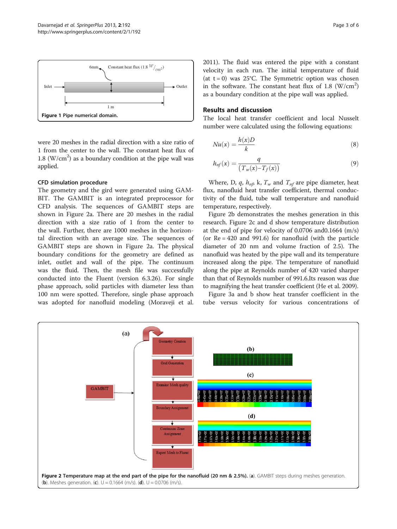<span id="page-2-0"></span>

were 20 meshes in the radial direction with a size ratio of 1 from the center to the wall. The constant heat flux of 1.8 ( $W/cm<sup>2</sup>$ ) as a boundary condition at the pipe wall was applied.

#### CFD simulation procedure

The geometry and the gird were generated using GAM-BIT. The GAMBIT is an integrated preprocessor for CFD analysis. The sequences of GAMBIT steps are shown in Figure 2a. There are 20 meshes in the radial direction with a size ratio of 1 from the center to the wall. Further, there are 1000 meshes in the horizontal direction with an average size. The sequences of GAMBIT steps are shown in Figure 2a. The physical boundary conditions for the geometry are defined as inlet, outlet and wall of the pipe. The continuum was the fluid. Then, the mesh file was successfully conducted into the Fluent (version 6.3.26). For single phase approach, solid particles with diameter less than 100 nm were spotted. Therefore, single phase approach was adopted for nanofluid modeling (Moraveji et al. [2011](#page-4-0)). The fluid was entered the pipe with a constant velocity in each run. The initial temperature of fluid (at  $t = 0$ ) was 25°C. The Symmetric option was chosen in the software. The constant heat flux of  $1.8 \, \text{(W/cm}^2)$ as a boundary condition at the pipe wall was applied.

#### Results and discussion

The local heat transfer coefficient and local Nusselt number were calculated using the following equations:

$$
Nu(x) = \frac{h(x)D}{k}
$$
\n(8)

$$
h_{nf}(x) = \frac{q}{(T_w(x) - T_f(x))}
$$
\n(9)

Where, D, q,  $h_{n\beta}$  k,  $T_w$  and  $T_{n\beta}$  are pipe diameter, heat flux, nanofluid heat transfer coefficient, thermal conductivity of the fluid, tube wall temperature and nanofluid temperature, respectively.

Figure 2b demonstrates the meshes generation in this research. Figure 2c and d show temperature distribution at the end of pipe for velocity of 0.0706 and0.1664 (m/s) (or  $Re = 420$  and 991.6) for nanofluid (with the particle diameter of 20 nm and volume fraction of 2.5). The nanofluid was heated by the pipe wall and its temperature increased along the pipe. The temperature of nanofluid along the pipe at Reynolds number of 420 varied sharper than that of Reynolds number of 991.6.Its reason was due to magnifying the heat transfer coefficient (He et al. [2009\)](#page-4-0).

Figure [3a](#page-3-0) and b show heat transfer coefficient in the tube versus velocity for various concentrations of

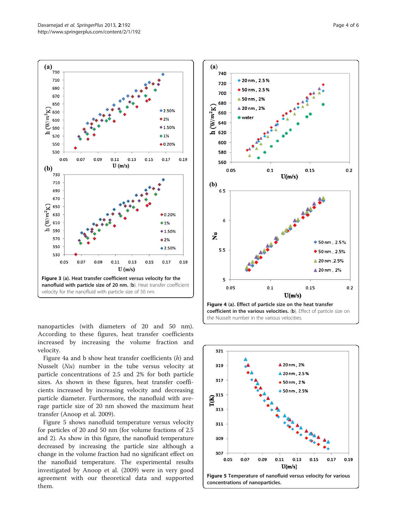<span id="page-3-0"></span>

nanoparticles (with diameters of 20 and 50 nm). According to these figures, heat transfer coefficients increased by increasing the volume fraction and velocity.

Figure 4a and b show heat transfer coefficients (h) and Nusselt (Nu) number in the tube versus velocity at particle concentrations of 2.5 and 2% for both particle sizes. As shown in these figures, heat transfer coefficients increased by increasing velocity and decreasing particle diameter. Furthermore, the nanofluid with average particle size of 20 nm showed the maximum heat transfer (Anoop et al. [2009](#page-4-0)).

Figure 5 shows nanofluid temperature versus velocity for particles of 20 and 50 nm (for volume fractions of 2.5 and 2). As show in this figure, the nanofluid temperature decreased by increasing the particle size although a change in the volume fraction had no significant effect on the nanofluid temperature. The experimental results investigated by Anoop et al. [\(2009](#page-4-0)) were in very good agreement with our theoretical data and supported them.



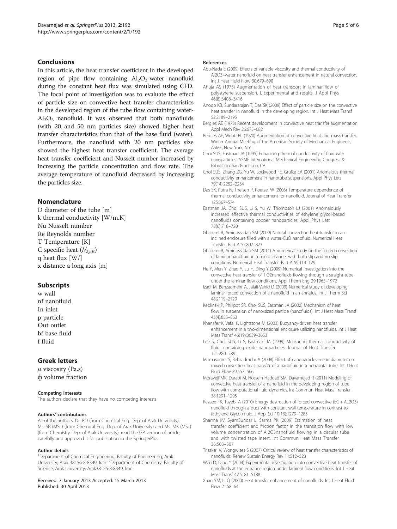## <span id="page-4-0"></span>Conclusions

In this article, the heat transfer coefficient in the developed region of pipe flow containing  $Al_2O_3$ -water nanofluid during the constant heat flux was simulated using CFD. The focal point of investigation was to evaluate the effect of particle size on convective heat transfer characteristics in the developed region of the tube flow containing water- $Al_2O_3$  nanofluid. It was observed that both nanofluids (with 20 and 50 nm particles size) showed higher heat transfer characteristics than that of the base fluid (water). Furthermore, the nanofluid with 20 nm particles size showed the highest heat transfer coefficient. The average heat transfer coefficient and Nusselt number increased by increasing the particle concentration and flow rate. The average temperature of nanofluid decreased by increasing the particles size.

## **Nomenclature**

D diameter of the tube [m] k thermal conductivity [W/m.K] Nu Nusselt number Re Reynolds number T Temperature [K] C specific heat  $(J/\mathcal{N}_{kg,K})$ q heat flux [W/] x distance a long axis [m]

## Subscripts

w wall nf nanofluid In inlet p particle Out outlet bf base fluid f fluid

## Greek letters

 $\mu$  viscosity (Pa.s) ф volume fraction

#### Competing interests

The authors declare that they have no competing interests.

#### Authors' contributions

All of the authors, Dr. RD (from Chemical Eng. Dep. of Arak University), Ms. SB (MSc) (from Chemical Eng. Dep. of Arak University) and Ms. MK (MSc) (from Chemistry Dep. of Arak University), read the GP version of article, carefully and approved it for publication in the SpringerPlus.

#### Author details

<sup>1</sup>Department of Chemical Engineering, Faculty of Engineering, Arak University, Arak 38156-8-8349, Iran. <sup>2</sup>Department of Chemistry, Faculty of Science, Arak University, Arak38156-8-8349, Iran.

Received: 7 January 2013 Accepted: 15 March 2013 Published: 30 April 2013

#### References

- Abu-Nada E (2009) Effects of variable viscosity and thermal conductivity of Al2O3–water nanofluid on heat transfer enhancement in natural convection. Int J Heat Fluid Flow 30:679–690
- Ahuja AS (1975) Augmentation of heat transport in laminar flow of polystyrene suspension, I. Experimental and results. J Appl Phys 46(8):3408–3416
- Anoop KB, Sundararajan T, Das SK (2009) Effect of particle size on the convective heat transfer in nanofluid in the developing region. Int J Heat Mass Transf 52:2189–2195
- Bergles AE (1973) Recent development in convective heat transfer augmentation. Appl Mech Rev 26:675–682
- Bergles AE, Webb RL (1970) Augmentation of convective heat and mass transfer. Winter Annual Meeting of the American Society of Mechanical Engineers, ASME, New York, N.Y.
- Choi SUS, Eastman JA (1995) Enhancing thermal conductivity of fluid with nanoparticles. ASME International Mechanical Engineering Congress & Exhibition, San Francisco, CA
- Choi SUS, Zhang ZG, Yu W, Lockwood FE, Grulke EA (2001) Anomalous thermal conductivity enhancement in nanotube suspensions. Appl Phys Lett 79(14):2252–2254
- Das SK, Putra N, Theisen P, Roetzel W (2003) Temperature dependence of thermal conductivity enhancement for nanofluid. Journal of Heat Transfer 125:567–574
- Eastman JA, Choi SUS, Li S, Yu W, Thompson LJ (2001) Anomalously increased effective thermal conductivities of ethylene glycol-based nanofluids containing copper nanoparticles. Appl Phys Lett 78(6):718–720
- Ghasemi B, Aminossadati SM (2009) Natural convection heat transfer in an inclined enclosure filled with a water-CuO nanofluid. Numerical Heat Transfer, Part A 55:807–823
- Ghasemi B, Aminossadati SM (2011) A numerical study on the forced convection of laminar nanofluid in a micro channel with both slip and no slip conditions. Numerical Heat Transfer, Part A 59:114–129
- He Y, Men Y, Zhao Y, Lu H, Ding Y (2009) Numerical investigation into the convective heat transfer of TiO2nanofluids flowing through a straight tube under the laminar flow conditions. Appl Therm Eng 29:1965–1972
- Izadi M, Behzadmehr A, Jalali-Vahid D (2009) Numerical study of developing laminar forced convection of a nanofluid in an annulus. Int J Therm Sci 48:2119–2129
- Keblinski P, Phillpot SR, Choi SUS, Eastman JA (2002) Mechanism of heat flow in suspension of nano-sized particle (nanofluids). Int J Heat Mass Transf 45(4):855–863
- Khanafer K, Vafai K, Lightstone M (2003) Buoyancy-driven heat transfer enhancement in a two-dimensional enclosure utilizing nanofluids. Int J Heat Mass Transf 46(19):3639–3653
- Lee S, Choi SUS, Li S, Eastman JA (1999) Measuring thermal conductivity of fluids containing oxide nanoparticles. Journal of Heat Transfer 121:280–289
- Mirmasoumi S, Behzadmehr A (2008) Effect of nanoparticles mean diameter on mixed convection heat transfer of a nanofluid in a horizontal tube. Int J Heat Fluid Flow 29:557–566
- Moraveji MK, Darabi M, Hossein Haddad SM, Davarnejad R (2011) Modeling of convective heat transfer of a nanofluid in the developing region of tube flow with computational fluid dynamics. Int Commun Heat Mass Transfer 38:1291–1295
- Rezaee FK, Tayebi A (2010) Energy destruction of forced convective (EG + AL2O3) nanofluid through a duct with constant wall temperature in contrast to (Ethylene Glycol) fluid. J Appl Sci 10(13):1279–1285
- Sharma KV, SyamSundar L, Sarma PK (2009) Estimation of heat transfer coefficient and friction factor in the transition flow with low volume concentration of Al2O3nanofluid flowing in a circular tube and with twisted tape insert. Int Commun Heat Mass Transfer 36:503–507
- Trisaksri V, Wongwises S (2007) Critical review of heat transfer characteristics of nanofluids. Renew Sustain Energy Rev 11:512–523
- Wen D, Ding Y (2004) Experimental investigation into convective heat transfer of nanofluids at the entrance region under laminar flow conditions. Int J Heat Mass Transf 47:5181–5188
- Xuan YM, Li Q (2000) Heat transfer enhancement of nanofluids. Int J Heat Fluid Flow 21:58–64